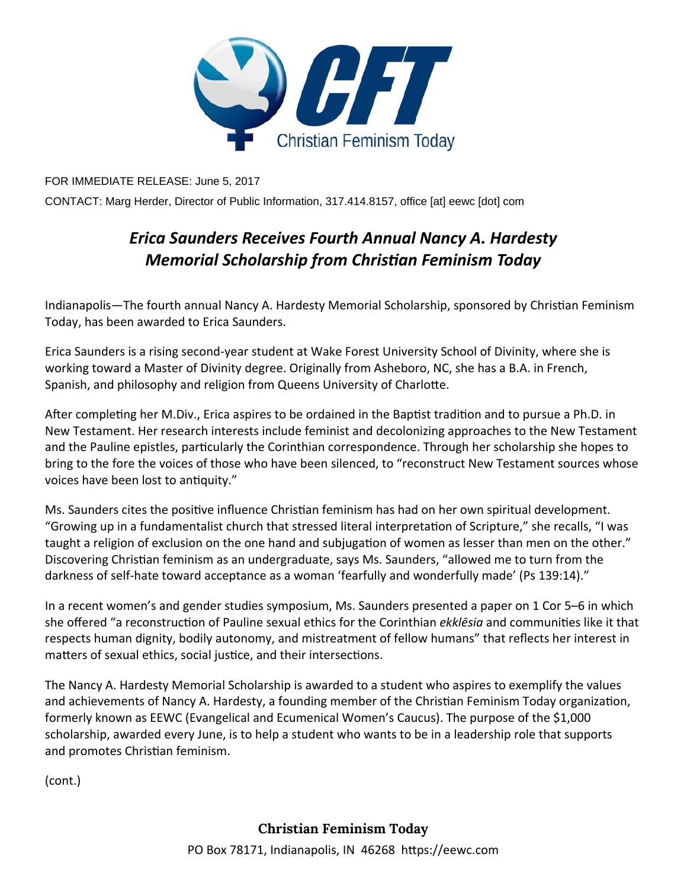

FOR IMMEDIATE RELEASE: June 5, 2017

CONTACT: Marg Herder, Director of Public Information, 317.414.8157, office [at] eewc [dot] com

## *Erica Saunders Receives Fourth Annual Nancy A. Hardesty Memorial Scholarship from ChrisƟan Feminism Today*

Indianapolis—The fourth annual Nancy A. Hardesty Memorial Scholarship, sponsored by Christian Feminism Today, has been awarded to Erica Saunders.

Erica Saunders is a rising second‐year student at Wake Forest University School of Divinity, where she is working toward a Master of Divinity degree. Originally from Asheboro, NC, she has a B.A. in French, Spanish, and philosophy and religion from Queens University of Charlotte.

After completing her M.Div., Erica aspires to be ordained in the Baptist tradition and to pursue a Ph.D. in New Testament. Her research interests include feminist and decolonizing approaches to the New Testament and the Pauline epistles, particularly the Corinthian correspondence. Through her scholarship she hopes to bring to the fore the voices of those who have been silenced, to "reconstruct New Testament sources whose voices have been lost to antiquity."

Ms. Saunders cites the positive influence Christian feminism has had on her own spiritual development. "Growing up in a fundamentalist church that stressed literal interpretation of Scripture," she recalls, "I was taught a religion of exclusion on the one hand and subjugation of women as lesser than men on the other." Discovering Christian feminism as an undergraduate, says Ms. Saunders, "allowed me to turn from the darkness of self-hate toward acceptance as a woman 'fearfully and wonderfully made' (Ps 139:14)."

In a recent women's and gender studies symposium, Ms. Saunders presented a paper on 1 Cor 5–6 in which she offered "a reconstruction of Pauline sexual ethics for the Corinthian *ekklēsia* and communities like it that respects human dignity, bodily autonomy, and mistreatment of fellow humans" that reflects her interest in matters of sexual ethics, social justice, and their intersections.

The Nancy A. Hardesty Memorial Scholarship is awarded to a student who aspires to exemplify the values and achievements of Nancy A. Hardesty, a founding member of the Christian Feminism Today organization, formerly known as EEWC (Evangelical and Ecumenical Women's Caucus). The purpose of the \$1,000 scholarship, awarded every June, is to help a student who wants to be in a leadership role that supports and promotes Christian feminism.

(cont.)